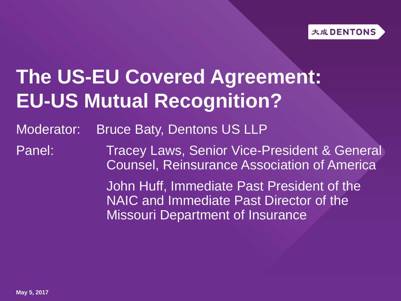# **The US-EU Covered Agreement: EU-US Mutual Recognition?**

Moderator: Bruce Baty, Dentons US LLP

Panel: Tracey Laws, Senior Vice-President & General Counsel, Reinsurance Association of America

> John Huff, Immediate Past President of the NAIC and Immediate Past Director of the Missouri Department of Insurance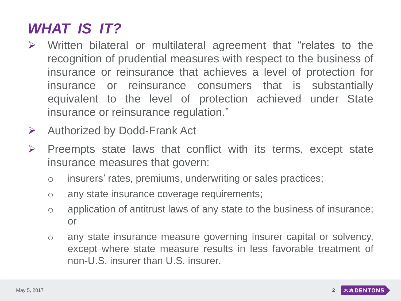#### *WHAT IS IT?*

- $\triangleright$  Written bilateral or multilateral agreement that "relates to the recognition of prudential measures with respect to the business of insurance or reinsurance that achieves a level of protection for insurance or reinsurance consumers that is substantially equivalent to the level of protection achieved under State insurance or reinsurance regulation."
- $\triangleright$  Authorized by Dodd-Frank Act
- $\triangleright$  Preempts state laws that conflict with its terms, except state insurance measures that govern:
	- o insurers' rates, premiums, underwriting or sales practices;
	- o any state insurance coverage requirements;
	- o application of antitrust laws of any state to the business of insurance; or
	- o any state insurance measure governing insurer capital or solvency, except where state measure results in less favorable treatment of non-U.S. insurer than U.S. insurer.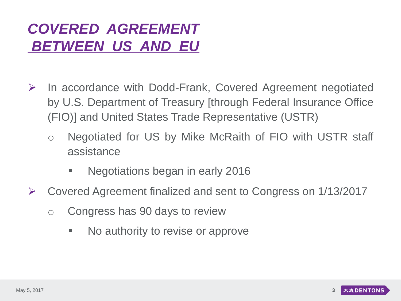#### *COVERED AGREEMENT BETWEEN US AND EU*

- $\triangleright$  In accordance with Dodd-Frank, Covered Agreement negotiated by U.S. Department of Treasury [through Federal Insurance Office (FIO)] and United States Trade Representative (USTR)
	- o Negotiated for US by Mike McRaith of FIO with USTR staff assistance
		- **Negotiations began in early 2016**
- Covered Agreement finalized and sent to Congress on 1/13/2017
	- o Congress has 90 days to review
		- No authority to revise or approve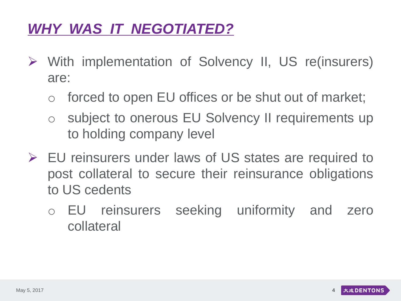#### *WHY WAS IT NEGOTIATED?*

- With implementation of Solvency II, US re(insurers) are:
	- o forced to open EU offices or be shut out of market;
	- o subject to onerous EU Solvency II requirements up to holding company level
- EU reinsurers under laws of US states are required to post collateral to secure their reinsurance obligations to US cedents
	- o EU reinsurers seeking uniformity and zero collateral

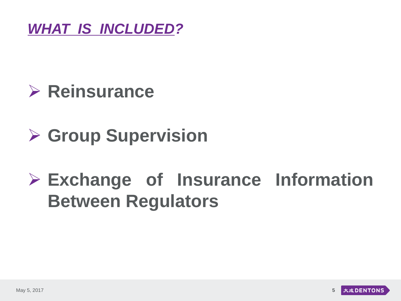

## **Reinsurance**

### **Group Supervision**

## **Exchange of Insurance Information Between Regulators**

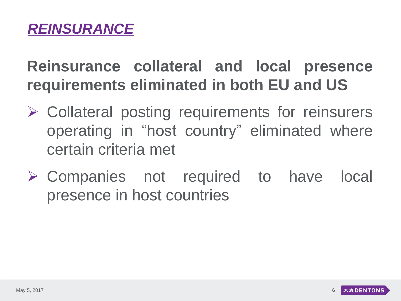### **Reinsurance collateral and local presence requirements eliminated in both EU and US**

- Collateral posting requirements for reinsurers operating in "host country" eliminated where certain criteria met
- Companies not required to have local presence in host countries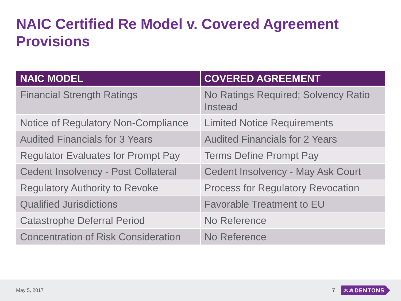#### **NAIC Certified Re Model v. Covered Agreement Provisions**

| <b>NAIC MODEL</b>                          | <b>COVERED AGREEMENT</b>                              |
|--------------------------------------------|-------------------------------------------------------|
| <b>Financial Strength Ratings</b>          | No Ratings Required; Solvency Ratio<br><b>Instead</b> |
| Notice of Regulatory Non-Compliance        | <b>Limited Notice Requirements</b>                    |
| <b>Audited Financials for 3 Years</b>      | <b>Audited Financials for 2 Years</b>                 |
| <b>Regulator Evaluates for Prompt Pay</b>  | <b>Terms Define Prompt Pay</b>                        |
| <b>Cedent Insolvency - Post Collateral</b> | <b>Cedent Insolvency - May Ask Court</b>              |
| <b>Regulatory Authority to Revoke</b>      | <b>Process for Regulatory Revocation</b>              |
| <b>Qualified Jurisdictions</b>             | <b>Favorable Treatment to EU</b>                      |
| <b>Catastrophe Deferral Period</b>         | No Reference                                          |
| <b>Concentration of Risk Consideration</b> | No Reference                                          |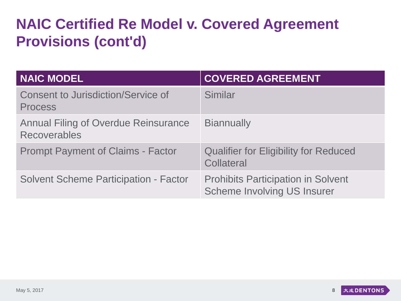#### **NAIC Certified Re Model v. Covered Agreement Provisions (cont'd)**

| <b>NAIC MODEL</b>                                                  | <b>COVERED AGREEMENT</b>                                                        |
|--------------------------------------------------------------------|---------------------------------------------------------------------------------|
| <b>Consent to Jurisdiction/Service of</b><br><b>Process</b>        | Similar                                                                         |
| <b>Annual Filing of Overdue Reinsurance</b><br><b>Recoverables</b> | <b>Biannually</b>                                                               |
| <b>Prompt Payment of Claims - Factor</b>                           | <b>Qualifier for Eligibility for Reduced</b><br><b>Collateral</b>               |
| <b>Solvent Scheme Participation - Factor</b>                       | <b>Prohibits Participation in Solvent</b><br><b>Scheme Involving US Insurer</b> |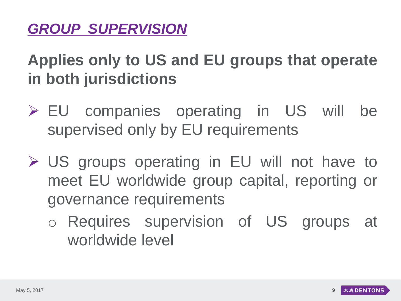#### *GROUP SUPERVISION*

### **Applies only to US and EU groups that operate in both jurisdictions**

- EU companies operating in US will be supervised only by EU requirements
- US groups operating in EU will not have to meet EU worldwide group capital, reporting or governance requirements
	- o Requires supervision of US groups at worldwide level

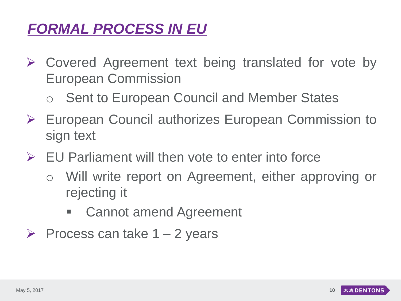#### *FORMAL PROCESS IN EU*

- $\triangleright$  Covered Agreement text being translated for vote by European Commission
	- Sent to European Council and Member States
- European Council authorizes European Commission to sign text
- $\triangleright$  EU Parliament will then vote to enter into force
	- o Will write report on Agreement, either approving or rejecting it
		- Cannot amend Agreement
- $\triangleright$  Process can take 1 2 years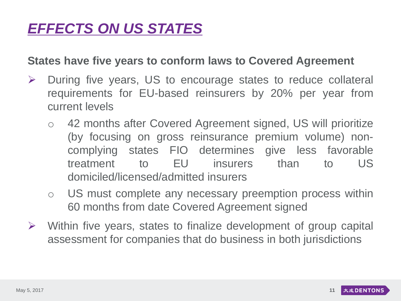#### *EFFECTS ON US STATES*

#### **States have five years to conform laws to Covered Agreement**

- $\triangleright$  During five years, US to encourage states to reduce collateral requirements for EU-based reinsurers by 20% per year from current levels
	- o 42 months after Covered Agreement signed, US will prioritize (by focusing on gross reinsurance premium volume) noncomplying states FIO determines give less favorable treatment to EU insurers than to US domiciled/licensed/admitted insurers
	- o US must complete any necessary preemption process within 60 months from date Covered Agreement signed
- $\triangleright$  Within five years, states to finalize development of group capital assessment for companies that do business in both jurisdictions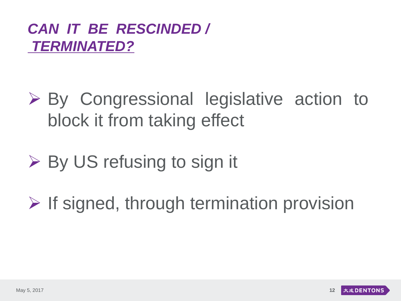#### *CAN IT BE RESCINDED / TERMINATED?*

- By Congressional legislative action to block it from taking effect
- **► By US refusing to sign it**
- $\triangleright$  If signed, through termination provision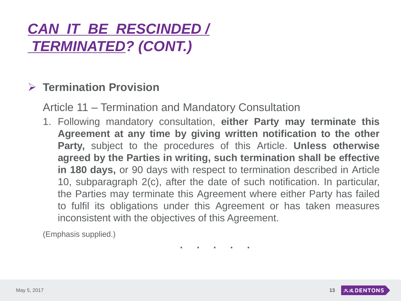#### *CAN IT BE RESCINDED / TERMINATED? (CONT.)*

#### **Termination Provision**

Article 11 – Termination and Mandatory Consultation

1. Following mandatory consultation, **either Party may terminate this Agreement at any time by giving written notification to the other Party,** subject to the procedures of this Article. **Unless otherwise agreed by the Parties in writing, such termination shall be effective in 180 days,** or 90 days with respect to termination described in Article 10, subparagraph 2(c), after the date of such notification. In particular, the Parties may terminate this Agreement where either Party has failed to fulfil its obligations under this Agreement or has taken measures inconsistent with the objectives of this Agreement.

(Emphasis supplied.)

**. . . . .**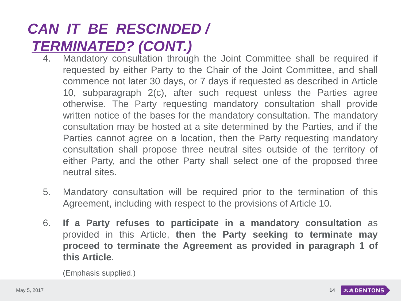#### *CAN IT BE RESCINDED / TERMINATED? (CONT.)*

- 4. Mandatory consultation through the Joint Committee shall be required if requested by either Party to the Chair of the Joint Committee, and shall commence not later 30 days, or 7 days if requested as described in Article 10, subparagraph 2(c), after such request unless the Parties agree otherwise. The Party requesting mandatory consultation shall provide written notice of the bases for the mandatory consultation. The mandatory consultation may be hosted at a site determined by the Parties, and if the Parties cannot agree on a location, then the Party requesting mandatory consultation shall propose three neutral sites outside of the territory of either Party, and the other Party shall select one of the proposed three neutral sites.
- 5. Mandatory consultation will be required prior to the termination of this Agreement, including with respect to the provisions of Article 10.
- 6. **If a Party refuses to participate in a mandatory consultation** as provided in this Article, **then the Party seeking to terminate may proceed to terminate the Agreement as provided in paragraph 1 of this Article**.

(Emphasis supplied.)

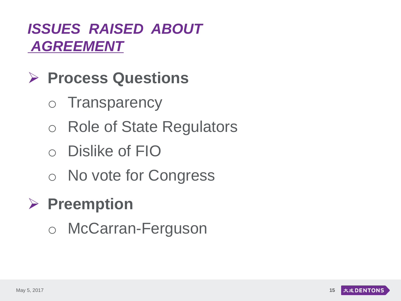#### *ISSUES RAISED ABOUT AGREEMENT*

### **Process Questions**

- o Transparency
- o Role of State Regulators
- o Dislike of FIO
- o No vote for Congress

### **Preemption**

o McCarran-Ferguson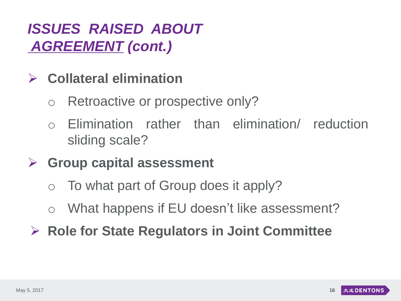#### *ISSUES RAISED ABOUT AGREEMENT (cont.)*

#### **Collateral elimination**

- o Retroactive or prospective only?
- o Elimination rather than elimination/ reduction sliding scale?

#### **Group capital assessment**

- o To what part of Group does it apply?
- o What happens if EU doesn't like assessment?
- **Role for State Regulators in Joint Committee**